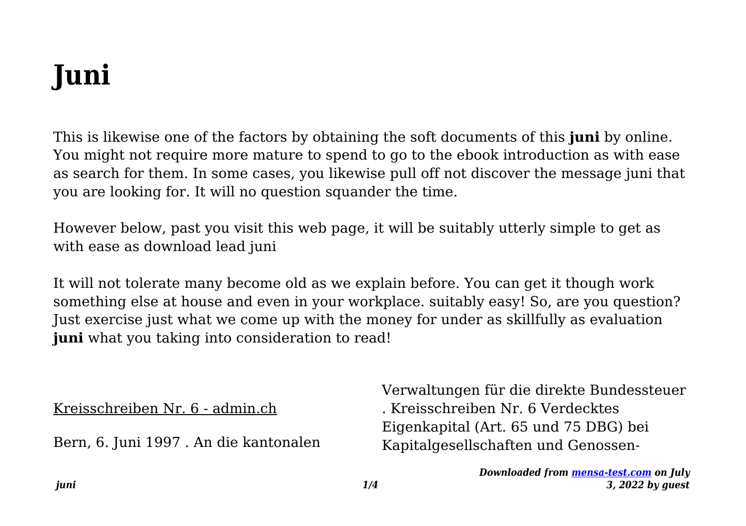# **Juni**

This is likewise one of the factors by obtaining the soft documents of this **juni** by online. You might not require more mature to spend to go to the ebook introduction as with ease as search for them. In some cases, you likewise pull off not discover the message juni that you are looking for. It will no question squander the time.

However below, past you visit this web page, it will be suitably utterly simple to get as with ease as download lead juni

It will not tolerate many become old as we explain before. You can get it though work something else at house and even in your workplace. suitably easy! So, are you question? Just exercise just what we come up with the money for under as skillfully as evaluation juni what you taking into consideration to read!

Kreisschreiben Nr. 6 - admin.ch

Bern, 6. Juni 1997 . An die kantonalen

Verwaltungen für die direkte Bundessteuer . Kreisschreiben Nr. 6 Verdecktes Eigenkapital (Art. 65 und 75 DBG) bei Kapitalgesellschaften und Genossen-

> *Downloaded from [mensa-test.com](https://mensa-test.com) on July 3, 2022 by guest*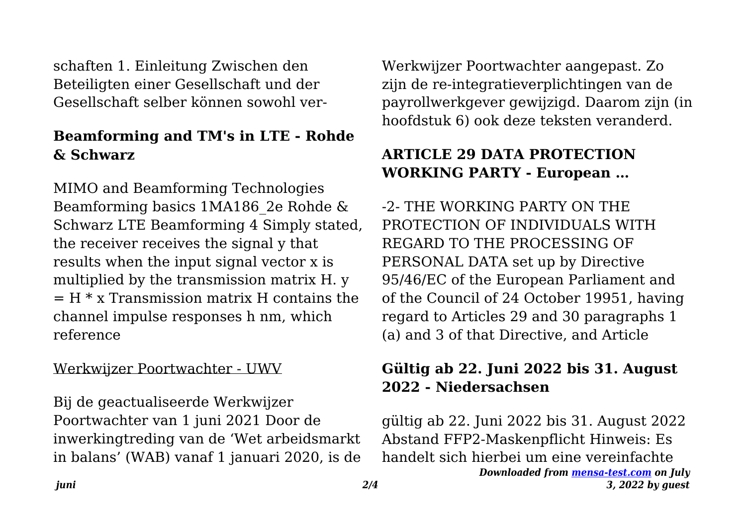schaften 1. Einleitung Zwischen den Beteiligten einer Gesellschaft und der Gesellschaft selber können sowohl ver-

### **Beamforming and TM's in LTE - Rohde & Schwarz**

MIMO and Beamforming Technologies Beamforming basics 1MA186\_2e Rohde & Schwarz LTE Beamforming 4 Simply stated, the receiver receives the signal y that results when the input signal vector x is multiplied by the transmission matrix H. y  $=$  H  $*$  x Transmission matrix H contains the channel impulse responses h nm, which reference

#### Werkwijzer Poortwachter - UWV

Bij de geactualiseerde Werkwijzer Poortwachter van 1 juni 2021 Door de inwerkingtreding van de 'Wet arbeidsmarkt in balans' (WAB) vanaf 1 januari 2020, is de Werkwijzer Poortwachter aangepast. Zo zijn de re-integratieverplichtingen van de payrollwerkgever gewijzigd. Daarom zijn (in hoofdstuk 6) ook deze teksten veranderd.

# **ARTICLE 29 DATA PROTECTION WORKING PARTY - European …**

-2- THE WORKING PARTY ON THE PROTECTION OF INDIVIDUALS WITH REGARD TO THE PROCESSING OF PERSONAL DATA set up by Directive 95/46/EC of the European Parliament and of the Council of 24 October 19951, having regard to Articles 29 and 30 paragraphs 1 (a) and 3 of that Directive, and Article

# **Gültig ab 22. Juni 2022 bis 31. August 2022 - Niedersachsen**

*Downloaded from [mensa-test.com](https://mensa-test.com) on July 3, 2022 by guest* gültig ab 22. Juni 2022 bis 31. August 2022 Abstand FFP2-Maskenpflicht Hinweis: Es handelt sich hierbei um eine vereinfachte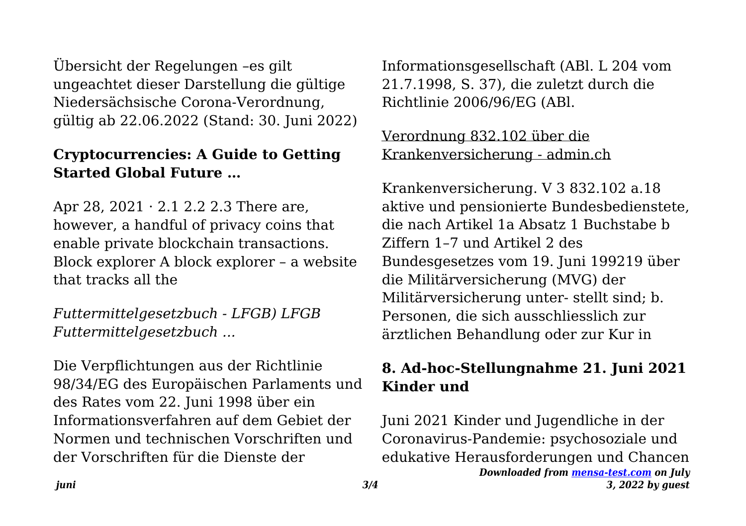Übersicht der Regelungen –es gilt ungeachtet dieser Darstellung die gültige Niedersächsische Corona-Verordnung, gültig ab 22.06.2022 (Stand: 30. Juni 2022)

# **Cryptocurrencies: A Guide to Getting Started Global Future …**

Apr 28, 2021 · 2.1 2.2 2.3 There are, however, a handful of privacy coins that enable private blockchain transactions. Block explorer A block explorer – a website that tracks all the

*Futtermittelgesetzbuch - LFGB) LFGB Futtermittelgesetzbuch ...*

Die Verpflichtungen aus der Richtlinie 98/34/EG des Europäischen Parlaments und des Rates vom 22. Juni 1998 über ein Informationsverfahren auf dem Gebiet der Normen und technischen Vorschriften und der Vorschriften für die Dienste der

Informationsgesellschaft (ABl. L 204 vom 21.7.1998, S. 37), die zuletzt durch die Richtlinie 2006/96/EG (ABl.

#### Verordnung 832.102 über die Krankenversicherung - admin.ch

Krankenversicherung. V 3 832.102 a.18 aktive und pensionierte Bundesbedienstete, die nach Artikel 1a Absatz 1 Buchstabe b Ziffern 1–7 und Artikel 2 des Bundesgesetzes vom 19. Juni 199219 über die Militärversicherung (MVG) der Militärversicherung unter- stellt sind; b. Personen, die sich ausschliesslich zur ärztlichen Behandlung oder zur Kur in

### **8. Ad-hoc-Stellungnahme 21. Juni 2021 Kinder und**

*Downloaded from [mensa-test.com](https://mensa-test.com) on July 3, 2022 by guest* Juni 2021 Kinder und Jugendliche in der Coronavirus-Pandemie: psychosoziale und edukative Herausforderungen und Chancen